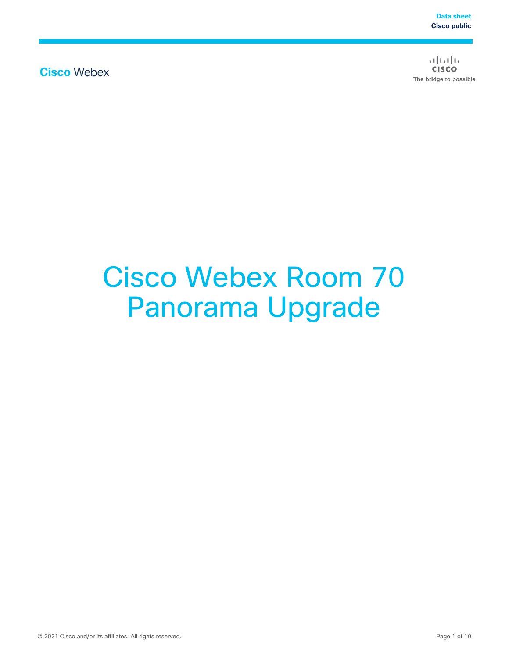**Cisco Webex** 

 $\frac{1}{2}$  $\frac{1}{2}$  $\frac{1}{2}$  $\frac{1}{2}$  $\frac{1}{2}$ **CISCO** The bridge to possible

# Cisco Webex Room 70 Panorama Upgrade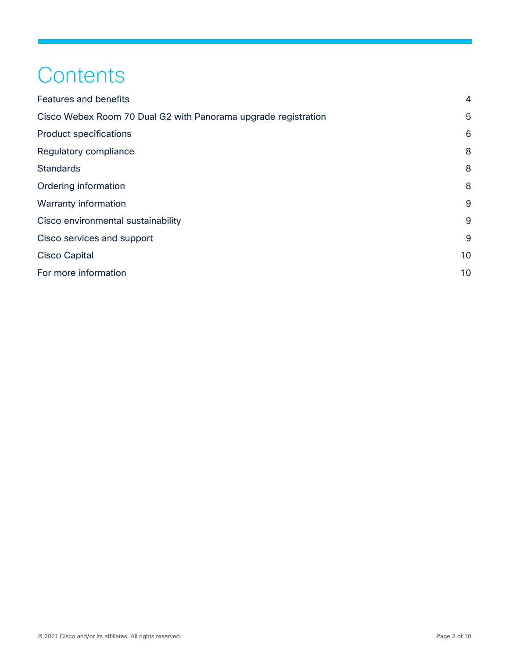# **Contents**

| <b>Features and benefits</b>                                   | 4  |
|----------------------------------------------------------------|----|
| Cisco Webex Room 70 Dual G2 with Panorama upgrade registration | 5  |
| <b>Product specifications</b>                                  | 6  |
| Regulatory compliance                                          | 8  |
| <b>Standards</b>                                               | 8  |
| Ordering information                                           | 8  |
| Warranty information                                           | 9  |
| Cisco environmental sustainability                             | 9  |
| Cisco services and support                                     | 9  |
| <b>Cisco Capital</b>                                           | 10 |
| For more information                                           | 10 |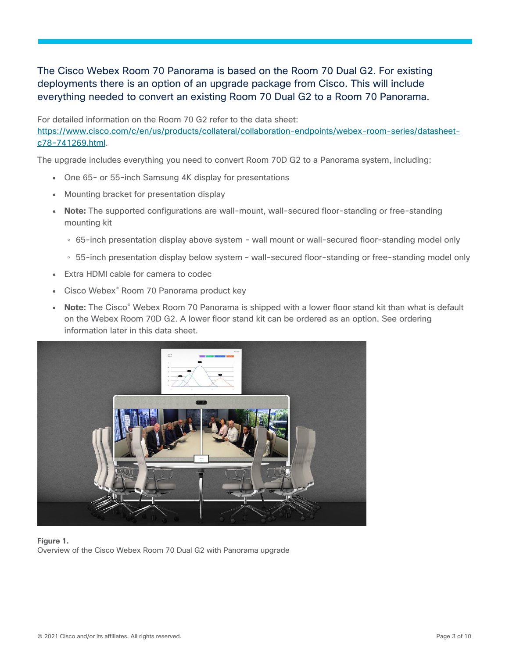#### The Cisco Webex Room 70 Panorama is based on the Room 70 Dual G2. For existing deployments there is an option of an upgrade package from Cisco. This will include everything needed to convert an existing Room 70 Dual G2 to a Room 70 Panorama.

For detailed information on the Room 70 G2 refer to the data sheet: [https://www.cisco.com/c/en/us/products/collateral/collaboration-endpoints/webex-room-series/datasheet](https://www.cisco.com/c/en/us/products/collateral/collaboration-endpoints/webex-room-series/datasheet-c78-741269.html)[c78-741269.html.](https://www.cisco.com/c/en/us/products/collateral/collaboration-endpoints/webex-room-series/datasheet-c78-741269.html)

The upgrade includes everything you need to convert Room 70D G2 to a Panorama system, including:

- One 65- or 55-inch Samsung 4K display for presentations
- Mounting bracket for presentation display
- **Note:** The supported configurations are wall-mount, wall-secured floor-standing or free-standing mounting kit
	- 65-inch presentation display above system wall mount or wall-secured floor-standing model only
	- 55-inch presentation display below system wall-secured floor-standing or free-standing model only
- Extra HDMI cable for camera to codec
- Cisco Webex<sup>®</sup> Room 70 Panorama product key
- **Note:** The Cisco<sup>®</sup> Webex Room 70 Panorama is shipped with a lower floor stand kit than what is default on the Webex Room 70D G2. A lower floor stand kit can be ordered as an option. See ordering information later in this data sheet.



**Figure 1.**  Overview of the Cisco Webex Room 70 Dual G2 with Panorama upgrade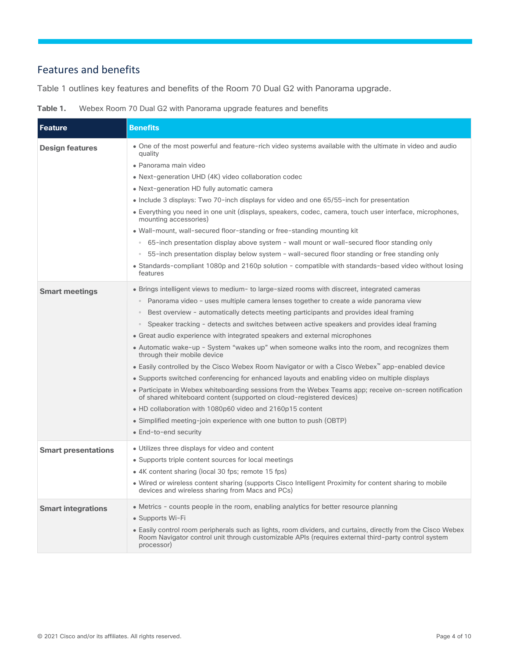### <span id="page-3-0"></span>Features and benefits

Table 1 outlines key features and benefits of the Room 70 Dual G2 with Panorama upgrade.

**Table 1.** Webex Room 70 Dual G2 with Panorama upgrade features and benefits

| <b>Feature</b>             | <b>Benefits</b>                                                                                                                                                                                                                   |
|----------------------------|-----------------------------------------------------------------------------------------------------------------------------------------------------------------------------------------------------------------------------------|
| <b>Design features</b>     | • One of the most powerful and feature-rich video systems available with the ultimate in video and audio<br>quality                                                                                                               |
|                            | • Panorama main video                                                                                                                                                                                                             |
|                            | • Next-generation UHD (4K) video collaboration codec                                                                                                                                                                              |
|                            | • Next-generation HD fully automatic camera                                                                                                                                                                                       |
|                            | • Include 3 displays: Two 70-inch displays for video and one 65/55-inch for presentation                                                                                                                                          |
|                            | • Everything you need in one unit (displays, speakers, codec, camera, touch user interface, microphones,<br>mounting accessories)                                                                                                 |
|                            | • Wall-mount, wall-secured floor-standing or free-standing mounting kit                                                                                                                                                           |
|                            | • 65-inch presentation display above system - wall mount or wall-secured floor standing only                                                                                                                                      |
|                            | 55-inch presentation display below system - wall-secured floor standing or free standing only                                                                                                                                     |
|                            | • Standards-compliant 1080p and 2160p solution - compatible with standards-based video without losing<br>features                                                                                                                 |
| <b>Smart meetings</b>      | • Brings intelligent views to medium- to large-sized rooms with discreet, integrated cameras                                                                                                                                      |
|                            | • Panorama video - uses multiple camera lenses together to create a wide panorama view                                                                                                                                            |
|                            | Best overview - automatically detects meeting participants and provides ideal framing                                                                                                                                             |
|                            | • Speaker tracking - detects and switches between active speakers and provides ideal framing                                                                                                                                      |
|                            | • Great audio experience with integrated speakers and external microphones                                                                                                                                                        |
|                            | • Automatic wake-up - System "wakes up" when someone walks into the room, and recognizes them<br>through their mobile device                                                                                                      |
|                            | • Easily controlled by the Cisco Webex Room Navigator or with a Cisco Webex <sup>"</sup> app-enabled device                                                                                                                       |
|                            | • Supports switched conferencing for enhanced layouts and enabling video on multiple displays                                                                                                                                     |
|                            | • Participate in Webex whiteboarding sessions from the Webex Teams app; receive on-screen notification<br>of shared whiteboard content (supported on cloud-registered devices)                                                    |
|                            | • HD collaboration with 1080p60 video and 2160p15 content                                                                                                                                                                         |
|                            | • Simplified meeting-join experience with one button to push (OBTP)                                                                                                                                                               |
|                            | • End-to-end security                                                                                                                                                                                                             |
| <b>Smart presentations</b> | • Utilizes three displays for video and content                                                                                                                                                                                   |
|                            | • Supports triple content sources for local meetings                                                                                                                                                                              |
|                            | • 4K content sharing (local 30 fps; remote 15 fps)                                                                                                                                                                                |
|                            | . Wired or wireless content sharing (supports Cisco Intelligent Proximity for content sharing to mobile<br>devices and wireless sharing from Macs and PCs)                                                                        |
| <b>Smart integrations</b>  | • Metrics - counts people in the room, enabling analytics for better resource planning                                                                                                                                            |
|                            | • Supports Wi-Fi                                                                                                                                                                                                                  |
|                            | • Easily control room peripherals such as lights, room dividers, and curtains, directly from the Cisco Webex<br>Room Navigator control unit through customizable APIs (requires external third-party control system<br>processor) |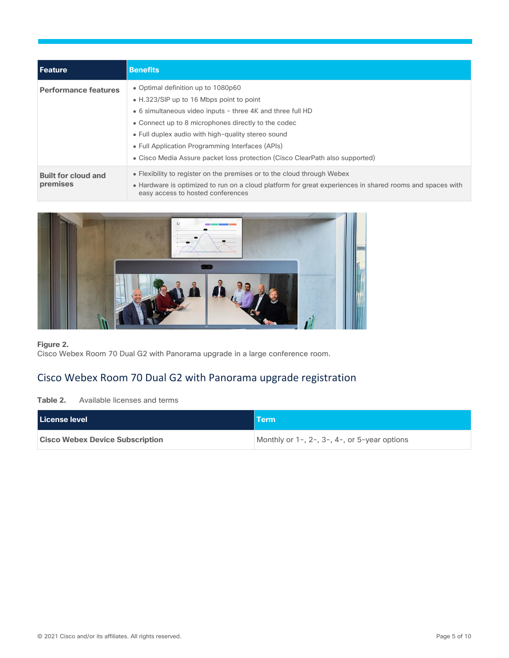| l Feature                              | <b>Benefits</b>                                                                                                                                                                                                                                                                                                                                                                               |
|----------------------------------------|-----------------------------------------------------------------------------------------------------------------------------------------------------------------------------------------------------------------------------------------------------------------------------------------------------------------------------------------------------------------------------------------------|
| <b>Performance features</b>            | • Optimal definition up to 1080p60<br>• H.323/SIP up to 16 Mbps point to point<br>• 6 simultaneous video inputs - three 4K and three full HD<br>• Connect up to 8 microphones directly to the codec<br>• Full duplex audio with high-quality stereo sound<br>• Full Application Programming Interfaces (APIs)<br>• Cisco Media Assure packet loss protection (Cisco ClearPath also supported) |
| <b>Built for cloud and</b><br>premises | • Flexibility to register on the premises or to the cloud through Webex<br>• Hardware is optimized to run on a cloud platform for great experiences in shared rooms and spaces with<br>easy access to hosted conferences                                                                                                                                                                      |



#### **Figure 2.**

Cisco Webex Room 70 Dual G2 with Panorama upgrade in a large conference room.

## <span id="page-4-0"></span>Cisco Webex Room 70 Dual G2 with Panorama upgrade registration

**Table 2.** Available licenses and terms

| l License level                        | <b>Term</b>                                                 |
|----------------------------------------|-------------------------------------------------------------|
| <b>Cisco Webex Device Subscription</b> | Monthly or $1-$ , $2-$ , $3-$ , $4-$ , or $5$ -year options |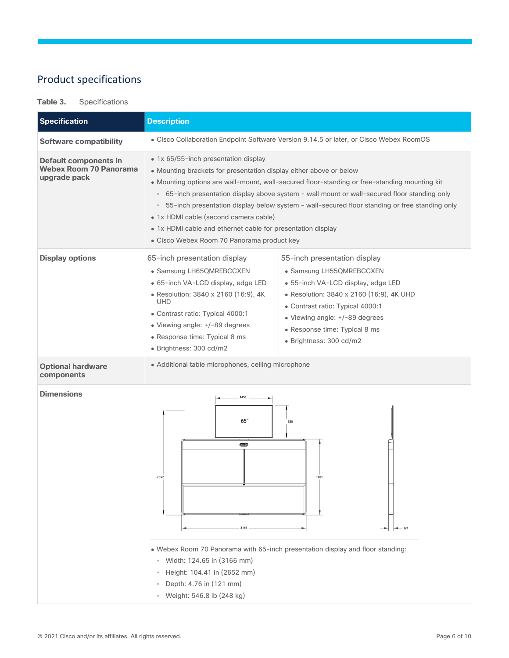# <span id="page-5-0"></span>Product specifications

#### **Table 3.** Specifications

| <b>Specification</b>                                                          | <b>Description</b>                                                                                                                                                                                                                                                                                                                                                                                                                                                                                                                                                           |  |  |
|-------------------------------------------------------------------------------|------------------------------------------------------------------------------------------------------------------------------------------------------------------------------------------------------------------------------------------------------------------------------------------------------------------------------------------------------------------------------------------------------------------------------------------------------------------------------------------------------------------------------------------------------------------------------|--|--|
| <b>Software compatibility</b>                                                 | • Cisco Collaboration Endpoint Software Version 9.14.5 or later, or Cisco Webex RoomOS                                                                                                                                                                                                                                                                                                                                                                                                                                                                                       |  |  |
| <b>Default components in</b><br><b>Webex Room 70 Panorama</b><br>upgrade pack | • 1x 65/55-inch presentation display<br>• Mounting brackets for presentation display either above or below<br>• Mounting options are wall-mount, wall-secured floor-standing or free-standing mounting kit<br>∘ 65-inch presentation display above system - wall mount or wall-secured floor standing only<br>55-inch presentation display below system - wall-secured floor standing or free standing only<br>$\circ$<br>• 1x HDMI cable (second camera cable)<br>• 1x HDMI cable and ethernet cable for presentation display<br>• Cisco Webex Room 70 Panorama product key |  |  |
| <b>Display options</b>                                                        | 65-inch presentation display<br>55-inch presentation display<br>• Samsung LH65QMREBCCXEN<br>• Samsung LH55QMREBCCXEN<br>· 65-inch VA-LCD display, edge LED<br>· 55-inch VA-LCD display, edge LED<br>• Resolution: 3840 x 2160 (16:9), 4K<br>• Resolution: 3840 x 2160 (16:9), 4K UHD<br><b>UHD</b><br>• Contrast ratio: Typical 4000:1<br>• Contrast ratio: Typical 4000:1<br>• Viewing angle: +/-89 degrees<br>• Viewing angle: +/-89 degrees<br>• Response time: Typical 8 ms<br>• Response time: Typical 8 ms<br>• Brightness: 300 cd/m2<br>• Brightness: 300 cd/m2       |  |  |
| <b>Optional hardware</b><br>components                                        | • Additional table microphones, ceiling microphone                                                                                                                                                                                                                                                                                                                                                                                                                                                                                                                           |  |  |
| <b>Dimensions</b>                                                             | 1453<br>65''<br>830<br>$\circ$<br>2652<br>1821<br>$-121$<br>. Webex Room 70 Panorama with 65-inch presentation display and floor standing:                                                                                                                                                                                                                                                                                                                                                                                                                                   |  |  |
|                                                                               | Width: 124.65 in (3166 mm)<br>$\circ$<br>Height: 104.41 in (2652 mm)<br>$\circ$<br>Depth: 4.76 in (121 mm)<br>$\circ$<br>Weight: 546.8 lb (248 kg)<br>$\circ$                                                                                                                                                                                                                                                                                                                                                                                                                |  |  |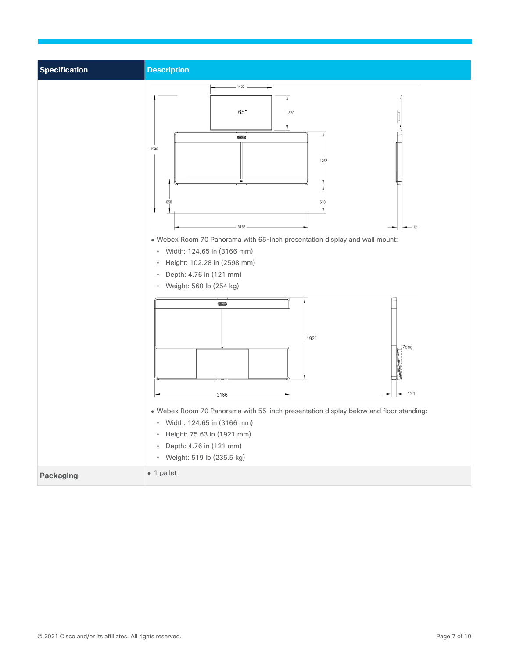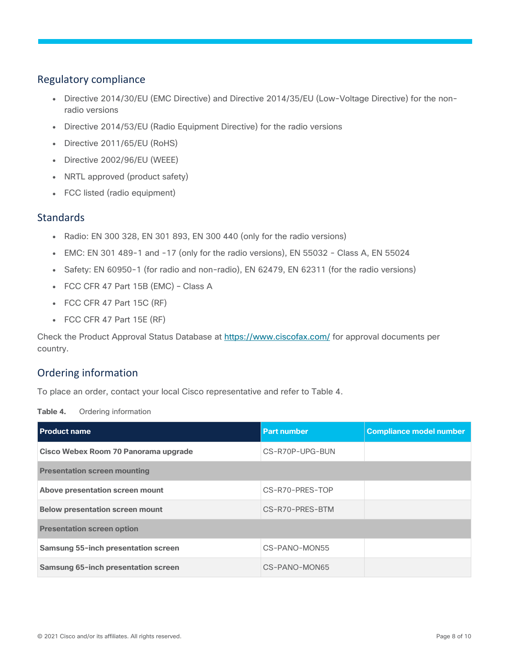#### <span id="page-7-0"></span>Regulatory compliance

- Directive 2014/30/EU (EMC Directive) and Directive 2014/35/EU (Low-Voltage Directive) for the nonradio versions
- Directive 2014/53/EU (Radio Equipment Directive) for the radio versions
- Directive 2011/65/EU (RoHS)
- Directive 2002/96/EU (WEEE)
- NRTL approved (product safety)
- FCC listed (radio equipment)

#### <span id="page-7-1"></span>**Standards**

- Radio: EN 300 328, EN 301 893, EN 300 440 (only for the radio versions)
- EMC: EN 301 489-1 and -17 (only for the radio versions), EN 55032 Class A, EN 55024
- Safety: EN 60950-1 (for radio and non-radio), EN 62479, EN 62311 (for the radio versions)
- FCC CFR 47 Part 15B (EMC) Class A
- $\bullet$  FCC CFR 47 Part 15C (RF)
- FCC CFR 47 Part 15E (RF)

Check the Product Approval Status Database at<https://www.ciscofax.com/> for approval documents per country.

#### <span id="page-7-2"></span>Ordering information

To place an order, contact your local Cisco representative and refer to Table 4.

**Table 4.** Ordering information

| <b>Product name</b>                    | <b>Part number</b> | <b>Compliance model number</b> |
|----------------------------------------|--------------------|--------------------------------|
| Cisco Webex Room 70 Panorama upgrade   | CS-R70P-UPG-BUN    |                                |
| <b>Presentation screen mounting</b>    |                    |                                |
| Above presentation screen mount        | CS-R70-PRES-TOP    |                                |
| <b>Below presentation screen mount</b> | CS-R70-PRES-BTM    |                                |
| <b>Presentation screen option</b>      |                    |                                |
| Samsung 55-inch presentation screen    | CS-PANO-MON55      |                                |
| Samsung 65-inch presentation screen    | CS-PANO-MON65      |                                |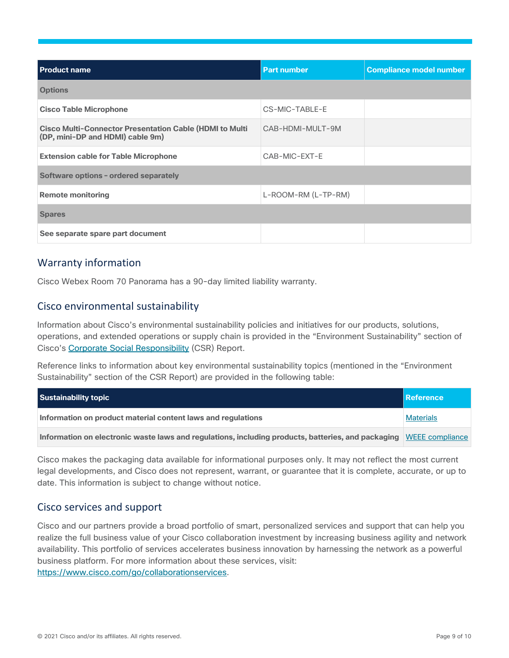| <b>Product name</b>                                                                                | <b>Part number</b>  | <b>Compliance model number</b> |  |
|----------------------------------------------------------------------------------------------------|---------------------|--------------------------------|--|
| <b>Options</b>                                                                                     |                     |                                |  |
| <b>Cisco Table Microphone</b>                                                                      | CS-MIC-TABLE-E      |                                |  |
| <b>Cisco Multi-Connector Presentation Cable (HDMI to Multi</b><br>(DP, mini-DP and HDMI) cable 9m) | CAB-HDMI-MULT-9M    |                                |  |
| <b>Extension cable for Table Microphone</b>                                                        | CAB-MIC-EXT-E       |                                |  |
| Software options - ordered separately                                                              |                     |                                |  |
| <b>Remote monitoring</b>                                                                           | L-ROOM-RM (L-TP-RM) |                                |  |
| <b>Spares</b>                                                                                      |                     |                                |  |
| See separate spare part document                                                                   |                     |                                |  |

#### <span id="page-8-0"></span>Warranty information

Cisco Webex Room 70 Panorama has a 90-day limited liability warranty.

#### <span id="page-8-1"></span>Cisco environmental sustainability

Information about Cisco's environmental sustainability policies and initiatives for our products, solutions, operations, and extended operations or supply chain is provided in the "Environment Sustainability" section of Cisco's [Corporate Social Responsibility](https://www-1.compliance2product.com/c2p/getAttachment.do?code=YM6Y0yThdO6Wj1FxxYPYfUG2dtFkTeFWGpzLRO8tcURFEifUCRV403Tq2ZMWP6Ai) (CSR) Report.

Reference links to information about key environmental sustainability topics (mentioned in the "Environment Sustainability" section of the CSR Report) are provided in the following table:

| Sustainability topic                                                                                               | Reference        |
|--------------------------------------------------------------------------------------------------------------------|------------------|
| Information on product material content laws and regulations                                                       | <b>Materials</b> |
| Information on electronic waste laws and regulations, including products, batteries, and packaging WEEE compliance |                  |

Cisco makes the packaging data available for informational purposes only. It may not reflect the most current legal developments, and Cisco does not represent, warrant, or guarantee that it is complete, accurate, or up to date. This information is subject to change without notice.

#### <span id="page-8-2"></span>Cisco services and support

Cisco and our partners provide a broad portfolio of smart, personalized services and support that can help you realize the full business value of your Cisco collaboration investment by increasing business agility and network availability. This portfolio of services accelerates business innovation by harnessing the network as a powerful business platform. For more information about these services, visit: [https://www.cisco.com/go/collaborationservices.](https://www.cisco.com/go/collaborationservices)